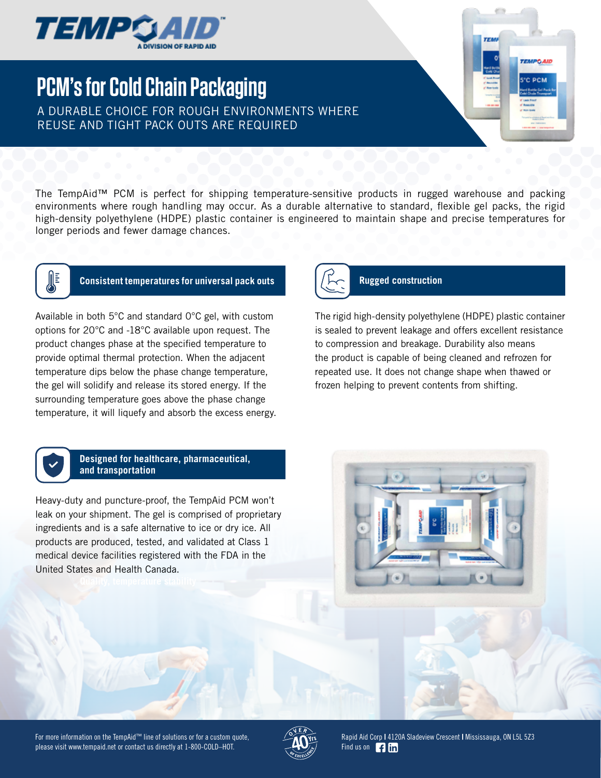

# **PCM's for Cold Chain Packaging**

A DURABLE CHOICE FOR ROUGH ENVIRONMENTS WHERE REUSE AND TIGHT PACK OUTS ARE REQUIRED

The TempAid™ PCM is perfect for shipping temperature-sensitive products in rugged warehouse and packing environments where rough handling may occur. As a durable alternative to standard, flexible gel packs, the rigid high-density polyethylene (HDPE) plastic container is engineered to maintain shape and precise temperatures for longer periods and fewer damage chances.



## **Consistent temperatures for universal pack outs Rugged construction**

Available in both 5°C and standard 0°C gel, with custom options for 20°C and -18°C available upon request. The product changes phase at the specified temperature to provide optimal thermal protection. When the adjacent temperature dips below the phase change temperature, the gel will solidify and release its stored energy. If the surrounding temperature goes above the phase change temperature, it will liquefy and absorb the excess energy.



The rigid high-density polyethylene (HDPE) plastic container is sealed to prevent leakage and offers excellent resistance to compression and breakage. Durability also means the product is capable of being cleaned and refrozen for repeated use. It does not change shape when thawed or frozen helping to prevent contents from shifting.

**TEMPO AID S°C PCM** 



### **Designed for healthcare, pharmaceutical, and transportation**

Heavy-duty and puncture-proof, the TempAid PCM won't leak on your shipment. The gel is comprised of proprietary ingredients and is a safe alternative to ice or dry ice. All products are produced, tested, and validated at Class 1 medical device facilities registered with the FDA in the United States and Health Canada.







Rapid Aid Corp **|** 4120A Sladeview Crescent **|** Mississauga, ON L5L 5Z3 Find us on **Fig. 1**